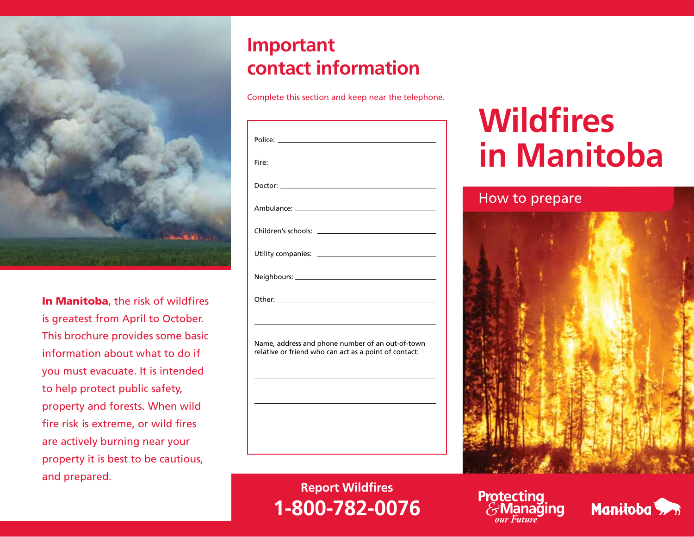

In Manitoba, the risk of wildfires is greatest from April to October. This brochure provides some basic information about what to do if you must evacuate. It is intended to help protect public safety, property and forests. When wild fire risk is extreme, or wild fires are actively burning near your property it is best to be cautious, and prepared.

# **Important contact information**

Complete this section and keep near the telephone.

Name, address and phone number of an out-of-town relative or friend who can act as a point of contact:

> **Report Wildfires 1-800-782-0076**

**Wildfires in Manitoba**

# How to prepare